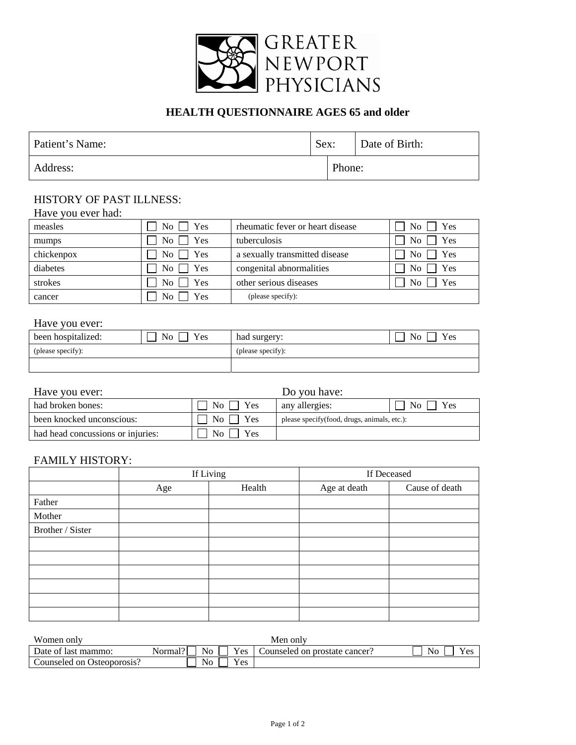

## **HEALTH QUESTIONNAIRE AGES 65 and older**

| Patient's Name: | Sex: |        | Date of Birth: |
|-----------------|------|--------|----------------|
| Address:        |      | Phone: |                |

## HISTORY OF PAST ILLNESS:

| Have you ever had: |                                     |                                  |                         |
|--------------------|-------------------------------------|----------------------------------|-------------------------|
| measles            | $\overline{N_0}$ $\overline{Y}$ Yes | rheumatic fever or heart disease | $\log$ No Yes           |
| mumps              | $No \rvert$ Yes                     | tuberculosis                     | $No$ Yes                |
| chickenpox         | $No \rceil$ Yes                     | a sexually transmitted disease   | $\mid$ No $\mid$ Yes    |
| diabetes           | $No \bigcap Yes$                    | congenital abnormalities         | Yes<br>$\overline{N_0}$ |
| strokes            | $No \rvert$ Yes                     | other serious diseases           | No l<br>Yes             |
| cancer             | $\overline{N_{0}}$<br>Yes           | (please specify):                |                         |

## Have you ever:

| been hospitalized: | Yes<br>N <sub>o</sub> | had surgery:      | No<br>Yes |
|--------------------|-----------------------|-------------------|-----------|
| (please specify):  |                       | (please specify): |           |
|                    |                       |                   |           |

| Have you ever:                    | Do you have:                     |                                              |                       |  |  |
|-----------------------------------|----------------------------------|----------------------------------------------|-----------------------|--|--|
| had broken bones:                 | $\rm{No}$   $\rm{Yes}$           | any allergies:                               | N <sub>0</sub><br>Yes |  |  |
| been knocked unconscious:         | $\rm{No}$     $\rm{Yes}$         | please specify (food, drugs, animals, etc.): |                       |  |  |
| had head concussions or injuries: | $\overline{N_{O}}$<br><b>Yes</b> |                                              |                       |  |  |

## FAMILY HISTORY:

|                  |     | If Living | If Deceased  |                |  |  |  |
|------------------|-----|-----------|--------------|----------------|--|--|--|
|                  | Age | Health    | Age at death | Cause of death |  |  |  |
| Father           |     |           |              |                |  |  |  |
| Mother           |     |           |              |                |  |  |  |
| Brother / Sister |     |           |              |                |  |  |  |
|                  |     |           |              |                |  |  |  |
|                  |     |           |              |                |  |  |  |
|                  |     |           |              |                |  |  |  |
|                  |     |           |              |                |  |  |  |
|                  |     |           |              |                |  |  |  |
|                  |     |           |              |                |  |  |  |

| Women only                 |                             | Men onlv                      |    |
|----------------------------|-----------------------------|-------------------------------|----|
| Date of last mammo:        | Yes<br>No<br>101<br>Normal' | Counseled on prostate cancer? | No |
| Counseled on Osteoporosis? | Yes<br>- -<br>No            |                               |    |